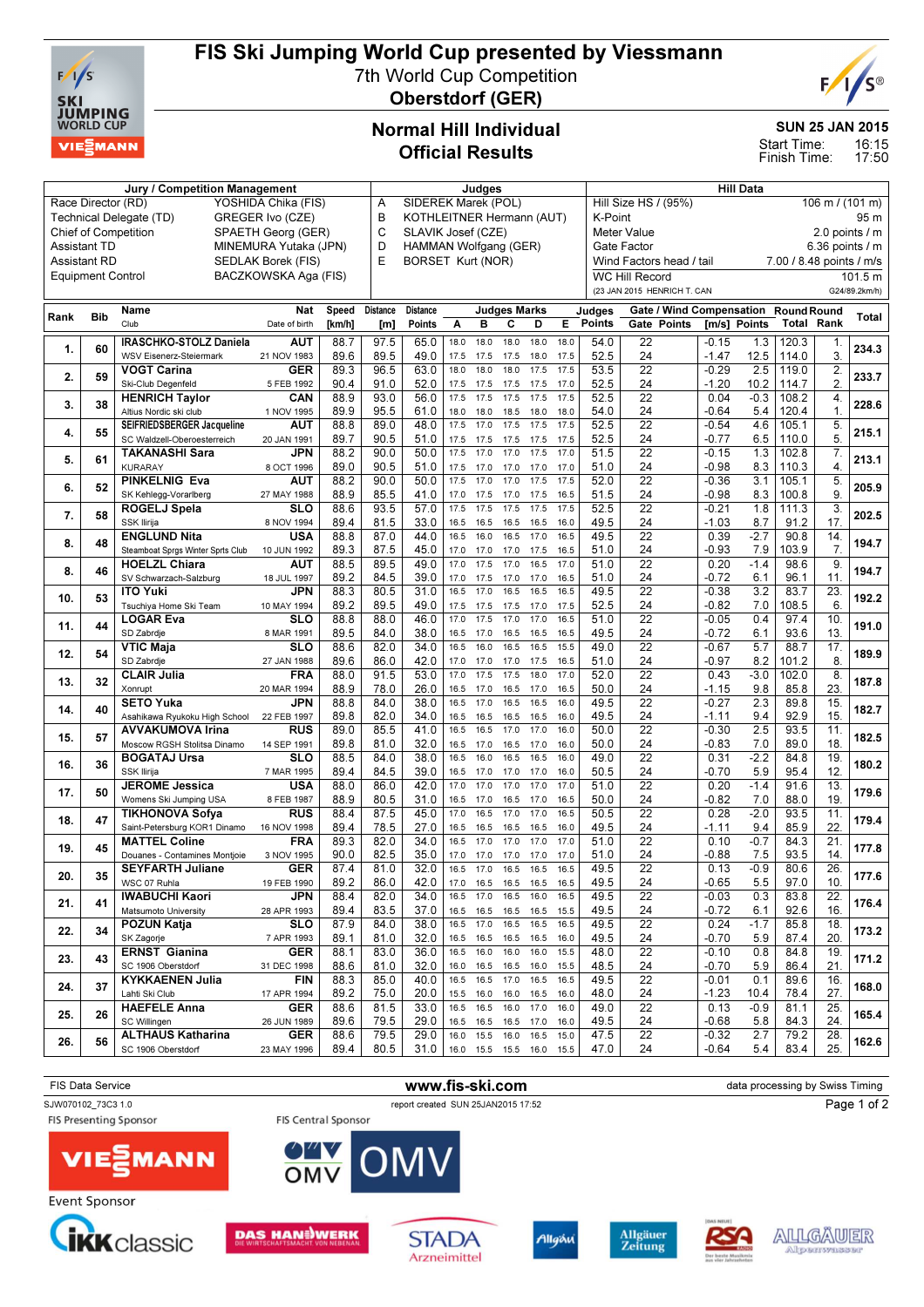

## FIS Ski Jumping World Cup presented by Viessmann

7th World Cup Competition Oberstdorf (GER)



SUN 25 JAN 2015

16:15 17:50 Start Time: Finish Time:

## Normal Hill Individual Official Results

|                                                                    |                          | Judges                                                  |                      |        |                                |                                                      |           | Hill Data    |                          |              |      |                                         |                             |  |                                 |                          |                    |                  |               |
|--------------------------------------------------------------------|--------------------------|---------------------------------------------------------|----------------------|--------|--------------------------------|------------------------------------------------------|-----------|--------------|--------------------------|--------------|------|-----------------------------------------|-----------------------------|--|---------------------------------|--------------------------|--------------------|------------------|---------------|
|                                                                    | Race Director (RD)       |                                                         | YOSHIDA Chika (FIS)  |        | A                              | <b>SIDEREK Marek (POL)</b>                           |           |              |                          |              |      | Hill Size HS / (95%)<br>106 m / (101 m) |                             |  |                                 |                          |                    |                  |               |
|                                                                    |                          | Technical Delegate (TD)                                 | GREGER Ivo (CZE)     |        | B<br>KOTHLEITNER Hermann (AUT) |                                                      |           |              |                          |              |      | K-Point<br>95 m                         |                             |  |                                 |                          |                    |                  |               |
| <b>Chief of Competition</b>                                        | C                        | SLAVIK Josef (CZE)<br><b>Meter Value</b><br>Gate Factor |                      |        |                                |                                                      |           |              |                          |              |      |                                         | 2.0 points / m              |  |                                 |                          |                    |                  |               |
| SPAETH Georg (GER)<br><b>Assistant TD</b><br>MINEMURA Yutaka (JPN) |                          |                                                         |                      |        |                                | D<br>HAMMAN Wolfgang (GER)                           |           |              |                          |              |      |                                         | 6.36 points $/$ m           |  |                                 |                          |                    |                  |               |
|                                                                    | <b>Assistant RD</b>      |                                                         | SEDLAK Borek (FIS)   |        | E                              | <b>BORSET Kurt (NOR)</b><br>Wind Factors head / tail |           |              |                          |              |      |                                         |                             |  |                                 | 7.00 / 8.48 points / m/s |                    |                  |               |
|                                                                    | <b>Equipment Control</b> |                                                         | BACZKOWSKA Aga (FIS) |        |                                |                                                      |           |              |                          |              |      |                                         | <b>WC Hill Record</b>       |  |                                 |                          |                    |                  | 101.5 m       |
|                                                                    |                          |                                                         |                      |        |                                |                                                      |           |              |                          |              |      |                                         | (23 JAN 2015 HENRICH T. CAN |  |                                 |                          |                    |                  | G24/89.2km/h) |
|                                                                    |                          |                                                         |                      |        |                                |                                                      |           |              |                          |              |      |                                         |                             |  |                                 |                          |                    |                  |               |
| Rank                                                               | <b>Bib</b>               | Name                                                    | Nat                  | Speed  | Distance                       | <b>Distance</b>                                      |           |              | <b>Judges Marks</b>      |              |      | Judges                                  |                             |  | <b>Gate / Wind Compensation</b> |                          | <b>Round Round</b> |                  | Total         |
|                                                                    |                          | Club                                                    | Date of birth        | [km/h] | [m]                            | Points                                               | Α         | в            | C                        | D            | E    | Points                                  | Gate Points                 |  | [m/s] Points                    |                          | <b>Total Rank</b>  |                  |               |
|                                                                    |                          | IRASCHKO-STOLZ Daniela                                  | <b>AUT</b>           | 88.7   | 97.5                           | 65.0                                                 | 18.0      | 18.0         | 18.0                     | 18.0         | 18.0 | 54.0                                    | 22                          |  | $-0.15$                         | 1.3                      | 120.3              | 1.               |               |
| 1.                                                                 | 60                       | WSV Eisenerz-Steiermark                                 | 21 NOV 1983          | 89.6   | 89.5                           | 49.0                                                 | 17.5      | 17.5         | 17.5                     | 18.0         | 17.5 | 52.5                                    | 24                          |  | $-1.47$                         | 12.5                     | 114.0              | 3.               | 234.3         |
|                                                                    |                          | <b>VOGT Carina</b>                                      | <b>GER</b>           | 89.3   | 96.5                           | 63.0                                                 | 18.0      | 18.0         | 18.0                     | 17.5         | 17.5 | 53.5                                    | $\overline{22}$             |  | $-0.29$                         | 2.5                      | 119.0              | $\overline{2}$   |               |
| 2.                                                                 | 59                       | Ski-Club Degenfeld                                      | 5 FEB 1992           | 90.4   | 91.0                           | 52.0                                                 | 17.5      | 17.5         | 17.5                     | 17.5         | 17.0 | 52.5                                    | 24                          |  | $-1.20$                         | 10.2                     | 114.7              | 2.               | 233.7         |
|                                                                    |                          | <b>HENRICH Taylor</b>                                   | CAN                  | 88.9   | 93.0                           | 56.0                                                 | 17.5      | 17.5         | 17.5                     | 17.5         | 17.5 | 52.5                                    | $\overline{22}$             |  | 0.04                            | $-0.3$                   | 108.2              | 4.               |               |
| 3.                                                                 | 38                       | Altius Nordic ski club                                  | 1 NOV 1995           | 89.9   | 95.5                           | 61.0                                                 | 18.0      | 18.0         | 18.5                     | 18.0         | 18.0 | 54.0                                    | 24                          |  | $-0.64$                         | 5.4                      | 120.4              | $\mathbf{1}$ .   | 228.6         |
|                                                                    |                          | SEIFRIEDSBERGER Jacqueline                              | AUT                  | 88.8   | 89.0                           | 48.0                                                 | 17.5      | 17.0         | 17.5                     | 17.5         | 17.5 | 52.5                                    | $\overline{22}$             |  | $-0.54$                         | 4.6                      | 105.1              | 5.               |               |
| 4.                                                                 | 55                       | SC Waldzell-Oberoesterreich                             | 20 JAN 1991          | 89.7   | 90.5                           | 51.0                                                 | 17.5      | 17.5         | 17.5                     | 17.5         | 17.5 | 52.5                                    | 24                          |  | $-0.77$                         | 6.5                      | 110.0              | 5.               | 215.1         |
|                                                                    |                          | <b>TAKANASHI Sara</b>                                   | JPN                  | 88.2   | 90.0                           | 50.0                                                 | 17.5      | 17.0         | 17.0                     | 17.5         | 17.0 | 51.5                                    | $\overline{22}$             |  | $-0.15$                         | 1.3                      | 102.8              | 7.               |               |
| 5.                                                                 | 61                       | <b>KURARAY</b>                                          | 8 OCT 1996           | 89.0   | 90.5                           | 51.0                                                 | 17.5      | 17.0         | 17.0                     | 17.0         | 17.0 | 51.0                                    | 24                          |  | $-0.98$                         | 8.3                      | 110.3              | $\overline{4}$ . | 213.1         |
|                                                                    |                          | <b>PINKELNIG Eva</b>                                    | <b>AUT</b>           | 88.2   | 90.0                           | 50.0                                                 | 17.5      | 17.0         | 17.0                     | 17.5         | 17.5 | 52.0                                    | $\overline{22}$             |  | $-0.36$                         | 3.1                      | 105.1              | 5.               |               |
| 6.                                                                 | 52                       | SK Kehlegg-Vorarlberg                                   | 27 MAY 1988          | 88.9   | 85.5                           | 41.0                                                 | 17.0      |              |                          |              | 16.5 | 51.5                                    | 24                          |  | $-0.98$                         | 8.3                      | 100.8              | 9.               | 205.9         |
|                                                                    |                          |                                                         | SLO                  | 88.6   | 93.5                           | 57.0                                                 | 17.5      | 17.5<br>17.5 | 17.0<br>17.5             | 17.5<br>17.5 | 17.5 | 52.5                                    | $\overline{22}$             |  | $-0.21$                         | 1.8                      |                    | $\overline{3}$ . |               |
| 7.                                                                 | 58                       | ROGELJ Spela                                            |                      |        |                                |                                                      |           |              |                          |              |      |                                         |                             |  |                                 |                          | 111.3              |                  | 202.5         |
|                                                                    |                          | SSK Ilirija                                             | 8 NOV 1994           | 89.4   | 81.5                           | 33.0                                                 | 16.5      | 16.5         | 16.5                     | 16.5         | 16.0 | 49.5                                    | 24                          |  | $-1.03$                         | 8.7                      | 91.2               | 17.              |               |
| 8.                                                                 | 48                       | <b>ENGLUND Nita</b>                                     | <b>USA</b>           | 88.8   | 87.0                           | 44.0                                                 | 16.5      | 16.0         | 16.5                     | 17.0         | 16.5 | 49.5                                    | $\overline{22}$             |  | 0.39                            | $-2.7$                   | 90.8               | 14.              | 194.7         |
|                                                                    |                          | Steamboat Sprgs Winter Sprts Club                       | 10 JUN 1992          | 89.3   | 87.5                           | 45.0                                                 | 17.0      | 17.0         | 17.0 17.5                |              | 16.5 | 51.0                                    | 24                          |  | -0.93                           | 7.9                      | 103.9              | 7.               |               |
| 8.                                                                 | 46                       | <b>HOELZL Chiara</b>                                    | AUT                  | 88.5   | 89.5                           | 49.0                                                 | 17.0      | 17.5         | 17.0                     | 16.5         | 17.0 | 51.0                                    | $\overline{22}$             |  | 0.20                            | $-1.4$                   | 98.6               | 9.               | 194.7         |
|                                                                    |                          | SV Schwarzach-Salzburg                                  | 18 JUL 1997          | 89.2   | 84.5                           | 39.0                                                 | 17.0      | 17.5         | 17.0                     | 17.0         | 16.5 | 51.0                                    | 24                          |  | $-0.72$                         | 6.1                      | 96.1               | 11.              |               |
| 10.                                                                | 53                       | <b>ITO Yuki</b>                                         | JPN                  | 88.3   | 80.5                           | 31.0                                                 | 16.5      | 17.0         | 16.5                     | 16.5         | 16.5 | 49.5                                    | $\overline{22}$             |  | $-0.38$                         | 3.2                      | 83.7               | 23.              | 192.2         |
|                                                                    |                          | Tsuchiya Home Ski Team                                  | 10 MAY 1994          | 89.2   | 89.5                           | 49.0                                                 | 17.5      | 17.5         | 17.5                     | 17.0         | 17.5 | 52.5                                    | 24                          |  | $-0.82$                         | 7.0                      | 108.5              | 6.               |               |
| 11.                                                                | 44                       | <b>LOGAR Eva</b>                                        | SLO                  | 88.8   | 88.0                           | 46.0                                                 | 17.0      | 17.5         | 17.0                     | 17.0         | 16.5 | 51.0                                    | 22                          |  | $-0.05$                         | 0.4                      | 97.4               | 10.              | 191.0         |
|                                                                    |                          | SD Zabrdje                                              | 8 MAR 1991           | 89.5   | 84.0                           | 38.0                                                 | 16.5      | 17.0         | 16.5                     | 16.5         | 16.5 | 49.5                                    | 24                          |  | $-0.72$                         | 6.1                      | 93.6               | 13.              |               |
| 12.                                                                | 54                       | <b>VTIC Maja</b>                                        | <b>SLO</b>           | 88.6   | 82.0                           | 34.0                                                 | 16.5      | 16.0         | 16.5                     | 16.5         | 15.5 | 49.0                                    | $\overline{22}$             |  | $-0.67$                         | 5.7                      | 88.7               | 17.              | 189.9         |
|                                                                    |                          | SD Zabrdje                                              | 27 JAN 1988          | 89.6   | 86.0                           | 42.0                                                 | 17.0      | 17.0         | 17.0                     | 17.5         | 16.5 | 51.0                                    | 24                          |  | $-0.97$                         | 8.2                      | 101.2              | 8.               |               |
| 13.                                                                | 32                       | <b>CLAIR Julia</b>                                      | <b>FRA</b>           | 88.0   | 91.5                           | 53.0                                                 | 17.0      | 17.5         | 17.5                     | 18.0         | 17.0 | 52.0                                    | $\overline{22}$             |  | 0.43                            | $-3.0$                   | 102.0              | 8.               | 187.8         |
|                                                                    |                          | Xonrupt                                                 | 20 MAR 1994          | 88.9   | 78.0                           | 26.0                                                 | 16.5      | 17.0         | 16.5                     | 17.0         | 16.5 | 50.0                                    | 24                          |  | $-1.15$                         | 9.8                      | 85.8               | 23.              |               |
| 14.                                                                | 40                       | <b>SETO Yuka</b>                                        | <b>JPN</b>           | 88.8   | 84.0                           | 38.0                                                 | 16.5      | 17.0         | 16.5                     | 16.5         | 16.0 | 49.5                                    | 22                          |  | $-0.27$                         | 2.3                      | 89.8               | 15.              | 182.7         |
|                                                                    |                          | Asahikawa Ryukoku High School                           | 22 FEB 1997          | 89.8   | 82.0                           | 34.0                                                 | 16.5      | 16.5         | 16.5                     | 16.5         | 16.0 | 49.5                                    | 24                          |  | $-1.11$                         | 9.4                      | 92.9               | 15.              |               |
| 15.                                                                | 57                       | <b>AVVAKUMOVA Irina</b>                                 | RUS                  | 89.0   | 85.5                           | 41.0                                                 | 16.5      | 16.5         | 17.0                     | 17.0         | 16.0 | 50.0                                    | $\overline{22}$             |  | $-0.30$                         | 2.5                      | 93.5               | 11.              | 182.5         |
|                                                                    |                          | Moscow RGSH Stolitsa Dinamo                             | 14 SEP 1991          | 89.8   | 81.0                           | 32.0                                                 | 16.5      | 17.0         | 16.5                     | 17.0         | 16.0 | 50.0                                    | 24                          |  | $-0.83$                         | 7.0                      | 89.0               | 18.              |               |
| 16.                                                                | 36                       | <b>BOGATAJ Ursa</b>                                     | <b>SLO</b>           | 88.5   | 84.0                           | 38.0                                                 | 16.5      | 16.0         | 16.5                     | 16.5         | 16.0 | 49.0                                    | 22                          |  | 0.31                            | $-2.2$                   | 84.8               | 19.              | 180.2         |
|                                                                    |                          | SSK Ilirija                                             | 7 MAR 1995           | 89.4   | 84.5                           | 39.0                                                 | 16.5      | 17.0         | 17.0                     | 17.0         | 16.0 | 50.5                                    | 24                          |  | $-0.70$                         | 5.9                      | 95.4               | 12.              |               |
| 17.                                                                | 50                       | <b>JEROME Jessica</b>                                   | <b>USA</b>           | 88.0   | 86.0                           | 42.0                                                 | 17.0      | 17.0         | 17.0                     | 17.0         | 17.0 | 51.0                                    | $\overline{22}$             |  | 0.20                            | $-1.4$                   | 91.6               | 13               | 179.6         |
|                                                                    |                          | Womens Ski Jumping USA                                  | 8 FEB 1987           | 88.9   | 80.5                           | 31.0                                                 | 16.5      | 17.0         | 16.5                     | 17.0         | 16.5 | 50.0                                    | 24                          |  | $-0.82$                         | 7.0                      | 88.0               | 19.              |               |
| 18.                                                                | 47                       | <b>TIKHONOVA Sofya</b>                                  | <b>RUS</b>           | 88.4   | 87.5                           | 45.0                                                 | 17.0      | 16.5         | 17.0                     | 17.0         | 16.5 | 50.5                                    | $\overline{22}$             |  | 0.28                            | $-2.0$                   | 93.5               | 11.              | 179.4         |
|                                                                    |                          | Saint-Petersburg KOR1 Dinamo                            | 16 NOV 1998          | 89.4   | 78.5                           | 27.0                                                 | 16.5      | 16.5         | 16.5                     | 16.5         | 16.0 | 49.5                                    | 24                          |  | $-1.11$                         | 9.4                      | 85.9               | 22.              |               |
|                                                                    |                          | <b>MATTEL Coline</b>                                    | <b>FRA</b>           | 89.3   | 82.0                           | 34.0                                                 | 16.5      | 17.0         | 17.0                     | 17.0         | 17.0 | 51.0                                    | 22                          |  | 0.10                            | $-0.7$                   | 84.3               | 21.              |               |
| 19.                                                                | 45                       | Douanes - Contamines Montjoie                           | 3 NOV 1995           | 90.0   | 82.5                           | 35.0                                                 | 17.0      | 17.0         | 17.0                     | 17.0         | 17.0 | 51.0                                    | 24                          |  | $-0.88$                         | 7.5                      | 93.5               | 14.              | 177.8         |
|                                                                    |                          | <b>SEYFARTH Juliane</b>                                 | <b>GER</b>           | 87.4   | 81.0                           | 32.0                                                 | 16.5      | 17.0         | 16.5                     | 16.5         | 16.5 | 49.5                                    | $\overline{22}$             |  | 0.13                            | $-0.9$                   | 80.6               | $\overline{26}$  |               |
| 20.                                                                | 35                       | WSC 07 Ruhla                                            | 19 FEB 1990          | 89.2   | 86.0                           | 42.0                                                 | 17.0      | 16.5         | 16.5                     | 16.5         | 16.5 | 49.5                                    | 24                          |  | $-0.65$                         | $5.5\,$                  | 97.0               | 10.              | 177.6         |
|                                                                    |                          | <b>IWABUCHI Kaori</b>                                   | <b>JPN</b>           | 88.4   | 82.0                           | 34.0                                                 | 16.5 17.0 |              | 16.5 16.0                |              | 16.5 | 49.5                                    | 22                          |  | $-0.03$                         | 0.3                      | 83.8               | 22.              |               |
| 21.                                                                | 41                       | Matsumoto University                                    | 28 APR 1993          | 89.4   | 83.5                           | 37.0                                                 | 16.5      | 16.5         | 16.5                     | 16.5         | 15.5 | 49.5                                    | 24                          |  | $-0.72$                         | 6.1                      | 92.6               | 16.              | 176.4         |
|                                                                    |                          | POZUN Katja                                             | <b>SLO</b>           | 87.9   | 84.0                           | 38.0                                                 | 16.5 17.0 |              | 16.5 16.5                |              | 16.5 | 49.5                                    | 22                          |  | 0.24                            | $-1.7$                   | 85.8               | 18.              |               |
| 22.                                                                | 34                       | SK Zagorje                                              | 7 APR 1993           | 89.1   | 81.0                           | 32.0                                                 | 16.5 16.5 |              | 16.5 16.5                |              | 16.0 | 49.5                                    | 24                          |  | -0.70                           | 5.9                      | 87.4               | 20.              | 173.2         |
|                                                                    |                          | <b>ERNST Gianina</b>                                    | GER                  | 88.1   | 83.0                           | 36.0                                                 | 16.5 16.0 |              | 16.0                     | 16.0         | 15.5 | 48.0                                    | $\overline{22}$             |  | $-0.10$                         | 0.8                      | 84.8               | 19.              |               |
| 23.                                                                | 43                       | SC 1906 Oberstdorf                                      | 31 DEC 1998          | 88.6   | 81.0                           | 32.0                                                 | 16.0 16.5 |              | 16.5 16.0                |              | 15.5 | 48.5                                    | 24                          |  | $-0.70$                         | 5.9                      | 86.4               | 21.              | 171.2         |
|                                                                    |                          | <b>KYKKAENEN Julia</b>                                  | FIN                  | 88.3   | 85.0                           | 40.0                                                 | 16.5 16.5 |              | 17.0                     | 16.5         | 16.5 | 49.5                                    | 22                          |  | $-0.01$                         | 0.1                      | 89.6               | 16.              |               |
| 24.                                                                | 37                       | Lahti Ski Club                                          | 17 APR 1994          | 89.2   | 75.0                           | 20.0                                                 | 15.5 16.0 |              | 16.0                     | 16.5         | 16.0 | 48.0                                    | 24                          |  | $-1.23$                         | 10.4                     | 78.4               | 27.              | 168.0         |
|                                                                    |                          | <b>HAEFELE Anna</b>                                     | GER                  | 88.6   | 81.5                           | 33.0                                                 | 16.5 16.5 |              | 16.0                     | 17.0         | 16.0 | 49.0                                    | 22                          |  | 0.13                            | -0.9                     | 81.1               | 25.              |               |
| 25.                                                                | 26                       | SC Willingen                                            | 26 JUN 1989          | 89.6   | 79.5                           | 29.0                                                 | 16.5      | 16.5         | 16.5                     | 17.0         | 16.0 | 49.5                                    | 24                          |  | $-0.68$                         | 5.8                      | 84.3               | 24.              | 165.4         |
|                                                                    |                          | <b>ALTHAUS Katharina</b>                                | GER                  | 88.6   | 79.5                           | 29.0                                                 | 16.0 15.5 |              | 16.0                     | 16.5         | 15.0 | 47.5                                    | $\overline{22}$             |  | $-0.32$                         | 2.7                      | 79.2               | 28.              |               |
| 26.                                                                | 56                       | SC 1906 Oberstdorf                                      | 23 MAY 1996          | 89.4   | 80.5                           | 31.0                                                 |           |              | 16.0 15.5 15.5 16.0 15.5 |              |      | 47.0                                    | 24                          |  | $-0.64$                         | 5.4                      | 83.4               | 25.              | 162.6         |
|                                                                    |                          |                                                         |                      |        |                                |                                                      |           |              |                          |              |      |                                         |                             |  |                                 |                          |                    |                  |               |